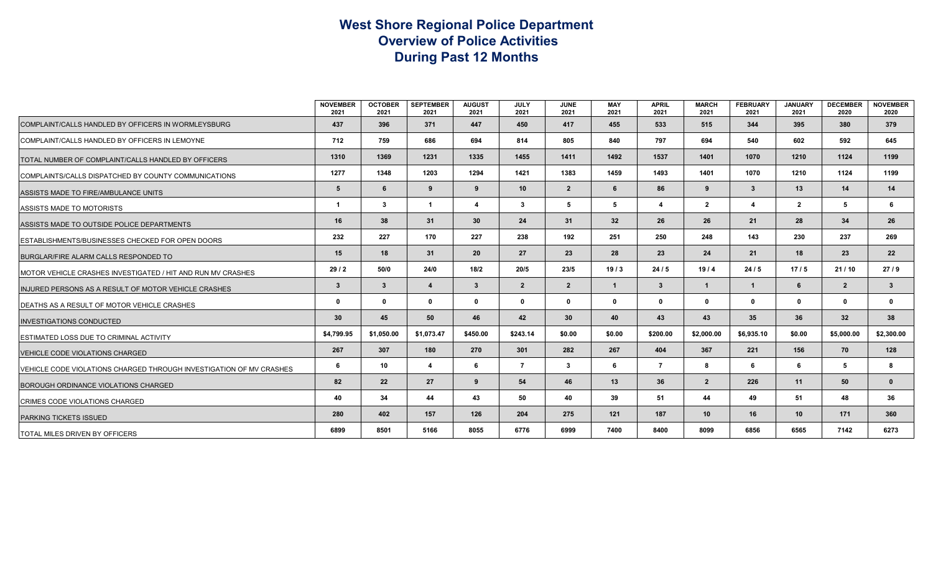### **West Shore Regional Police Department Overview of Police Activities During Past 12 Months**

|                                                                     | <b>NOVEMBER</b><br>2021 | <b>OCTOBER</b><br>2021 | <b>SEPTEMBER</b><br>2021 | <b>AUGUST</b><br>2021 | <b>JULY</b><br>2021 | <b>JUNE</b><br>2021 | <b>MAY</b><br>2021 | <b>APRIL</b><br>2021 | <b>MARCH</b><br>2021 | <b>FEBRUARY</b><br>2021 | <b>JANUARY</b><br>2021 | <b>DECEMBER</b><br>2020 | <b>NOVEMBER</b><br>2020 |
|---------------------------------------------------------------------|-------------------------|------------------------|--------------------------|-----------------------|---------------------|---------------------|--------------------|----------------------|----------------------|-------------------------|------------------------|-------------------------|-------------------------|
| COMPLAINT/CALLS HANDLED BY OFFICERS IN WORMLEYSBURG                 | 437                     | 396                    | 371                      | 447                   | 450                 | 417                 | 455                | 533                  | 515                  | 344                     | 395                    | 380                     | 379                     |
| COMPLAINT/CALLS HANDLED BY OFFICERS IN LEMOYNE                      | 712                     | 759                    | 686                      | 694                   | 814                 | 805                 | 840                | 797                  | 694                  | 540                     | 602                    | 592                     | 645                     |
| TOTAL NUMBER OF COMPLAINT/CALLS HANDLED BY OFFICERS                 | 1310                    | 1369                   | 1231                     | 1335                  | 1455                | 1411                | 1492               | 1537                 | 1401                 | 1070                    | 1210                   | 1124                    | 1199                    |
| COMPLAINTS/CALLS DISPATCHED BY COUNTY COMMUNICATIONS                | 1277                    | 1348                   | 1203                     | 1294                  | 1421                | 1383                | 1459               | 1493                 | 1401                 | 1070                    | 1210                   | 1124                    | 1199                    |
| ASSISTS MADE TO FIRE/AMBULANCE UNITS                                | 5                       | 6                      | 9                        | 9                     | 10 <sup>1</sup>     | $\overline{2}$      | 6                  | 86                   | 9                    | $\mathbf{3}$            | 13                     | 14                      | 14                      |
| ASSISTS MADE TO MOTORISTS                                           | -1                      | $\mathbf{3}$           | -1                       | $\boldsymbol{A}$      | $\mathbf{3}$        | 5                   | -5                 | 4                    | $\overline{2}$       | $\boldsymbol{\Lambda}$  | $\mathbf{2}$           | 5                       | -6                      |
| ASSISTS MADE TO OUTSIDE POLICE DEPARTMENTS                          | 16                      | 38                     | 31                       | 30                    | 24                  | 31                  | 32                 | 26                   | 26                   | 21                      | 28                     | 34                      | 26                      |
| ESTABLISHMENTS/BUSINESSES CHECKED FOR OPEN DOORS                    | 232                     | 227                    | 170                      | 227                   | 238                 | 192                 | 251                | 250                  | 248                  | 143                     | 230                    | 237                     | 269                     |
| BURGLAR/FIRE ALARM CALLS RESPONDED TO                               | 15                      | 18                     | 31                       | 20 <sub>2</sub>       | 27                  | 23                  | 28                 | 23                   | 24                   | 21                      | 18                     | 23                      | 22                      |
| MOTOR VEHICLE CRASHES INVESTIGATED / HIT AND RUN MV CRASHES         | 29/2                    | 50/0                   | 24/0                     | 18/2                  | 20/5                | 23/5                | 19/3               | 24/5                 | 19/4                 | 24/5                    | 17/5                   | 21/10                   | 27/9                    |
| INJURED PERSONS AS A RESULT OF MOTOR VEHICLE CRASHES                | $\mathbf{3}$            | $\mathbf{3}$           | $\overline{4}$           | $\mathbf{3}$          | $\overline{2}$      | $\overline{2}$      | $\overline{1}$     | $\mathbf{3}$         | $\mathbf{1}$         | $\overline{1}$          | 6                      | $\overline{2}$          | $\mathbf{3}$            |
| DEATHS AS A RESULT OF MOTOR VEHICLE CRASHES                         | $\mathbf 0$             | $\mathbf 0$            | $\mathbf{0}$             | $\Omega$              | 0                   | $\mathbf{0}$        | $\mathbf{0}$       | $\Omega$             | $\mathbf 0$          | $\mathbf{0}$            | $\Omega$               | $\Omega$                | 0                       |
| <b>INVESTIGATIONS CONDUCTED</b>                                     | 30                      | 45                     | 50                       | 46                    | 42                  | 30                  | 40                 | 43                   | 43                   | 35 <sub>2</sub>         | 36                     | 32                      | 38                      |
| ESTIMATED LOSS DUE TO CRIMINAL ACTIVITY                             | \$4,799.95              | \$1,050.00             | \$1,073.47               | \$450.00              | \$243.14            | \$0.00              | \$0.00             | \$200.00             | \$2,000.00           | \$6,935.10              | \$0.00                 | \$5,000.00              | \$2,300.00              |
| <b>VEHICLE CODE VIOLATIONS CHARGED</b>                              | 267                     | 307                    | 180                      | 270                   | 301                 | 282                 | 267                | 404                  | 367                  | 221                     | 156                    | 70                      | 128                     |
| VEHICLE CODE VIOLATIONS CHARGED THROUGH INVESTIGATION OF MV CRASHES | 6                       | 10                     | 4                        | 6                     | $\overline{7}$      | 3                   | 6                  | $\overline{7}$       | 8                    | -6                      | 6                      | -5                      | 8                       |
| <b>BOROUGH ORDINANCE VIOLATIONS CHARGED</b>                         | 82                      | 22                     | 27                       | 9                     | 54                  | 46                  | 13                 | 36                   | $\overline{2}$       | 226                     | 11                     | 50                      | $\mathbf{0}$            |
| <b>CRIMES CODE VIOLATIONS CHARGED</b>                               | 40                      | 34                     | 44                       | 43                    | 50                  | 40                  | 39                 | 51                   | 44                   | 49                      | 51                     | 48                      | 36                      |
| PARKING TICKETS ISSUED                                              | 280                     | 402                    | 157                      | 126                   | 204                 | 275                 | 121                | 187                  | 10                   | 16                      | 10                     | 171                     | 360                     |
| <b>TOTAL MILES DRIVEN BY OFFICERS</b>                               | 6899                    | 8501                   | 5166                     | 8055                  | 6776                | 6999                | 7400               | 8400                 | 8099                 | 6856                    | 6565                   | 7142                    | 6273                    |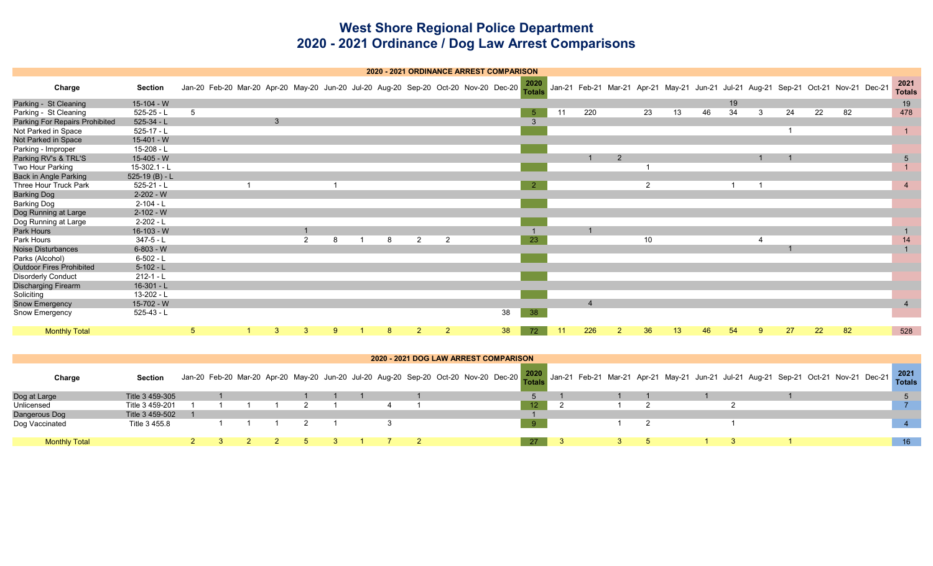### **West Shore Regional Police Department 2020 - 2021 Ordinance / Dog Law Arrest Comparisons**

|                                 |                  |   |                                                                                     |   |                |              |             |   |                |                | 2020 - 2021 ORDINANCE ARREST COMPARISON |    |                       |    |     |                |                |                                                                                     |    |    |             |    |    |    |                         |
|---------------------------------|------------------|---|-------------------------------------------------------------------------------------|---|----------------|--------------|-------------|---|----------------|----------------|-----------------------------------------|----|-----------------------|----|-----|----------------|----------------|-------------------------------------------------------------------------------------|----|----|-------------|----|----|----|-------------------------|
| Charge                          | Section          |   | Jan-20 Feb-20 Mar-20 Apr-20 May-20 Jun-20 Jul-20 Aug-20 Sep-20 Oct-20 Nov-20 Dec-20 |   |                |              |             |   |                |                |                                         |    | 2020<br><b>Totals</b> |    |     |                |                | Jan-21 Feb-21 Mar-21 Apr-21 May-21 Jun-21 Jul-21 Aug-21 Sep-21 Oct-21 Nov-21 Dec-21 |    |    |             |    |    |    | 2021<br><b>Totals</b>   |
| Parking - St Cleaning           | $15-104 - W$     |   |                                                                                     |   |                |              |             |   |                |                |                                         |    |                       |    |     |                |                |                                                                                     |    | 19 |             |    |    |    | 19                      |
| Parking - St Cleaning           | $525 - 25 - L$   |   |                                                                                     |   |                |              |             |   |                |                |                                         |    | $-5$                  |    | 220 |                | 23             | 13                                                                                  | 46 | 34 | 3           | 24 | 22 | 82 | 478                     |
| Parking For Repairs Prohibited  | $525-34 - L$     |   |                                                                                     | 3 |                |              |             |   |                |                |                                         |    | 3                     |    |     |                |                |                                                                                     |    |    |             |    |    |    |                         |
| Not Parked in Space             | 525-17 - L       |   |                                                                                     |   |                |              |             |   |                |                |                                         |    |                       |    |     |                |                |                                                                                     |    |    |             |    |    |    | $\overline{\mathbf{1}}$ |
| Not Parked in Space             | 15-401 - W       |   |                                                                                     |   |                |              |             |   |                |                |                                         |    |                       |    |     |                |                |                                                                                     |    |    |             |    |    |    |                         |
| Parking - Improper              | 15-208 - L       |   |                                                                                     |   |                |              |             |   |                |                |                                         |    |                       |    |     |                |                |                                                                                     |    |    |             |    |    |    |                         |
| Parking RV's & TRL'S            | 15-405 - W       |   |                                                                                     |   |                |              |             |   |                |                |                                         |    |                       |    |     | $\overline{2}$ |                |                                                                                     |    |    |             |    |    |    | 5                       |
| Two Hour Parking                | 15-302.1 - L     |   |                                                                                     |   |                |              |             |   |                |                |                                         |    |                       |    |     |                |                |                                                                                     |    |    |             |    |    |    |                         |
| <b>Back in Angle Parking</b>    | 525-19 $(B)$ - L |   |                                                                                     |   |                |              |             |   |                |                |                                         |    |                       |    |     |                |                |                                                                                     |    |    |             |    |    |    |                         |
| Three Hour Truck Park           | 525-21 - L       |   |                                                                                     |   |                |              |             |   |                |                |                                         |    | $\overline{2}$        |    |     |                | $\overline{2}$ |                                                                                     |    |    |             |    |    |    | $\overline{4}$          |
| <b>Barking Dog</b>              | $2-202 - W$      |   |                                                                                     |   |                |              |             |   |                |                |                                         |    |                       |    |     |                |                |                                                                                     |    |    |             |    |    |    |                         |
| <b>Barking Dog</b>              | $2 - 104 - L$    |   |                                                                                     |   |                |              |             |   |                |                |                                         |    |                       |    |     |                |                |                                                                                     |    |    |             |    |    |    |                         |
| Dog Running at Large            | $2-102 - W$      |   |                                                                                     |   |                |              |             |   |                |                |                                         |    |                       |    |     |                |                |                                                                                     |    |    |             |    |    |    |                         |
| Dog Running at Large            | $2-202 - L$      |   |                                                                                     |   |                |              |             |   |                |                |                                         |    |                       |    |     |                |                |                                                                                     |    |    |             |    |    |    |                         |
| Park Hours                      | $16-103 - W$     |   |                                                                                     |   |                |              |             |   |                |                |                                         |    |                       |    |     |                |                |                                                                                     |    |    |             |    |    |    |                         |
| Park Hours                      | $347 - 5 - L$    |   |                                                                                     |   |                | 2            | 8           | 8 | $\overline{2}$ | 2              |                                         |    | 23                    |    |     |                | 10             |                                                                                     |    |    |             |    |    |    | 14                      |
| Noise Disturbances              | $6 - 803 - W$    |   |                                                                                     |   |                |              |             |   |                |                |                                         |    |                       |    |     |                |                |                                                                                     |    |    |             |    |    |    |                         |
| Parks (Alcohol)                 | $6-502 - L$      |   |                                                                                     |   |                |              |             |   |                |                |                                         |    |                       |    |     |                |                |                                                                                     |    |    |             |    |    |    |                         |
| <b>Outdoor Fires Prohibited</b> | $5-102 - L$      |   |                                                                                     |   |                |              |             |   |                |                |                                         |    |                       |    |     |                |                |                                                                                     |    |    |             |    |    |    |                         |
| <b>Disorderly Conduct</b>       | $212 - 1 - L$    |   |                                                                                     |   |                |              |             |   |                |                |                                         |    |                       |    |     |                |                |                                                                                     |    |    |             |    |    |    |                         |
| <b>Discharging Firearm</b>      | 16-301 - L       |   |                                                                                     |   |                |              |             |   |                |                |                                         |    |                       |    |     |                |                |                                                                                     |    |    |             |    |    |    |                         |
| Soliciting                      | 13-202 - L       |   |                                                                                     |   |                |              |             |   |                |                |                                         |    |                       |    |     |                |                |                                                                                     |    |    |             |    |    |    |                         |
| <b>Snow Emergency</b>           | 15-702 - W       |   |                                                                                     |   |                |              |             |   |                |                |                                         |    |                       |    |     |                |                |                                                                                     |    |    |             |    |    |    | $\overline{4}$          |
| Snow Emergency                  | $525-43 - L$     |   |                                                                                     |   |                |              |             |   |                |                |                                         | 38 | 38                    |    |     |                |                |                                                                                     |    |    |             |    |    |    |                         |
| <b>Monthly Total</b>            |                  | 5 |                                                                                     |   | 3 <sup>2</sup> | $\mathbf{3}$ | $9^{\circ}$ | 8 | $\overline{2}$ | $\overline{2}$ |                                         | 38 | 72                    | 11 | 226 | $\overline{2}$ | 36             | 13                                                                                  | 46 | 54 | $9^{\circ}$ | 27 | 22 | 82 | 528                     |

|                      |                 |  |  |  |  | 2020 - 2021 DOG LAW ARREST COMPARISON                                                                                                                                             |              |  |  |  |  |    |
|----------------------|-----------------|--|--|--|--|-----------------------------------------------------------------------------------------------------------------------------------------------------------------------------------|--------------|--|--|--|--|----|
| Charge               | Section         |  |  |  |  | Jan-20 Feb-20 Mar-20 Apr-20 May-20 Jun-20 Jul-20 Aug-20 Sep-20 Oct-20 Nov-20 Dec-20 2020 Jan-21 Feb-21 Mar-21 Apr-21 May-21 Jun-21 Jul-21 Aug-21 Sep-21 Oct-21 Nov-21 Dec-21 2021 |              |  |  |  |  |    |
| Dog at Large         | Title 3 459-305 |  |  |  |  |                                                                                                                                                                                   |              |  |  |  |  |    |
| Unlicensed           | Title 3 459-201 |  |  |  |  |                                                                                                                                                                                   | $12^{\circ}$ |  |  |  |  |    |
| Dangerous Dog        | Title 3 459-502 |  |  |  |  |                                                                                                                                                                                   |              |  |  |  |  |    |
| Dog Vaccinated       | Title 3 455.8   |  |  |  |  |                                                                                                                                                                                   | O.           |  |  |  |  |    |
| <b>Monthly Total</b> |                 |  |  |  |  |                                                                                                                                                                                   |              |  |  |  |  | 16 |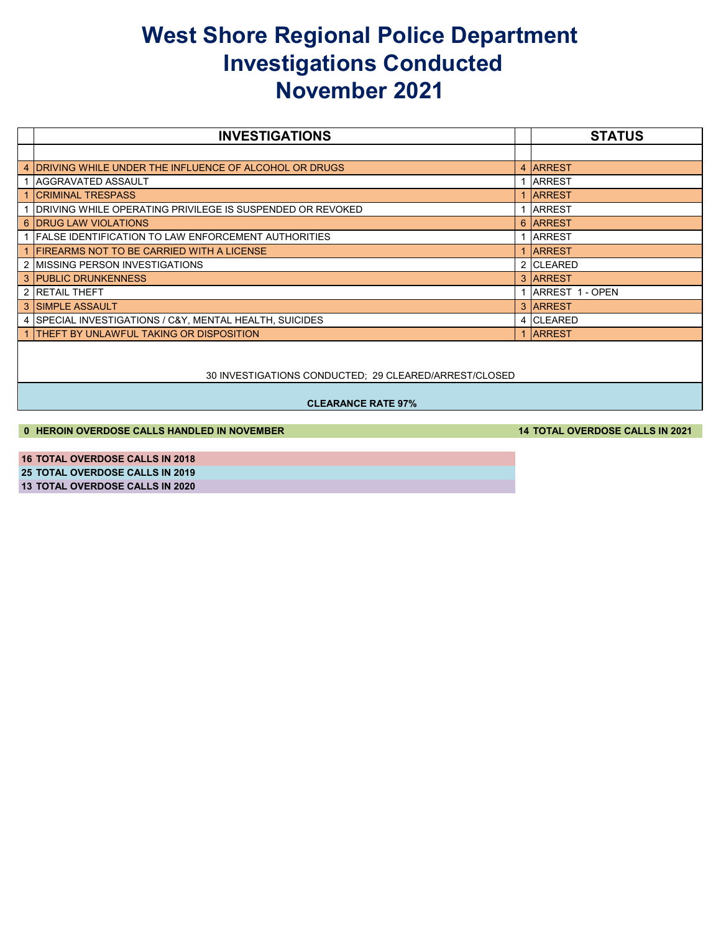## **West Shore Regional Police Department Investigations Conducted November 2021**

| <b>INVESTIGATIONS</b>                                             | <b>STATUS</b>     |
|-------------------------------------------------------------------|-------------------|
|                                                                   |                   |
| 4 DRIVING WHILE UNDER THE INFLUENCE OF ALCOHOL OR DRUGS           | 4 ARREST          |
| <b>AGGRAVATED ASSAULT</b>                                         | 1 ARREST          |
| 1 CRIMINAL TRESPASS                                               | <b>IARREST</b>    |
| <b>IDRIVING WHILE OPERATING PRIVILEGE IS SUSPENDED OR REVOKED</b> | <b>ARREST</b>     |
| 6 DRUG LAW VIOLATIONS                                             | 6 ARREST          |
| 1 FALSE IDENTIFICATION TO LAW ENFORCEMENT AUTHORITIES             | <b>ARREST</b>     |
| 1 FIREARMS NOT TO BE CARRIED WITH A LICENSE                       | 1 ARREST          |
| 2   MISSING PERSON INVESTIGATIONS                                 | 2 CLEARED         |
| <b>3 PUBLIC DRUNKENNESS</b>                                       | 3 ARREST          |
| 2 RETAIL THEFT                                                    | 1 ARREST 1 - OPEN |
| <b>3 ISIMPLE ASSAULT</b>                                          | 3 ARREST          |
| 4 SPECIAL INVESTIGATIONS / C&Y, MENTAL HEALTH, SUICIDES           | 4 CLEARED         |
| 1 THEFT BY UNLAWFUL TAKING OR DISPOSITION                         | 1 ARREST          |
|                                                                   |                   |

30 INVESTIGATIONS CONDUCTED; 29 CLEARED/ARREST/CLOSED

#### **CLEARANCE RATE 97%**

#### **HEROIN OVERDOSE CALLS HANDLED IN NOVEMBER 14 TOTAL OVERDOSE CALLS IN 2021**

 **TOTAL OVERDOSE CALLS IN 2018 TOTAL OVERDOSE CALLS IN 2019**

**TOTAL OVERDOSE CALLS IN 2020**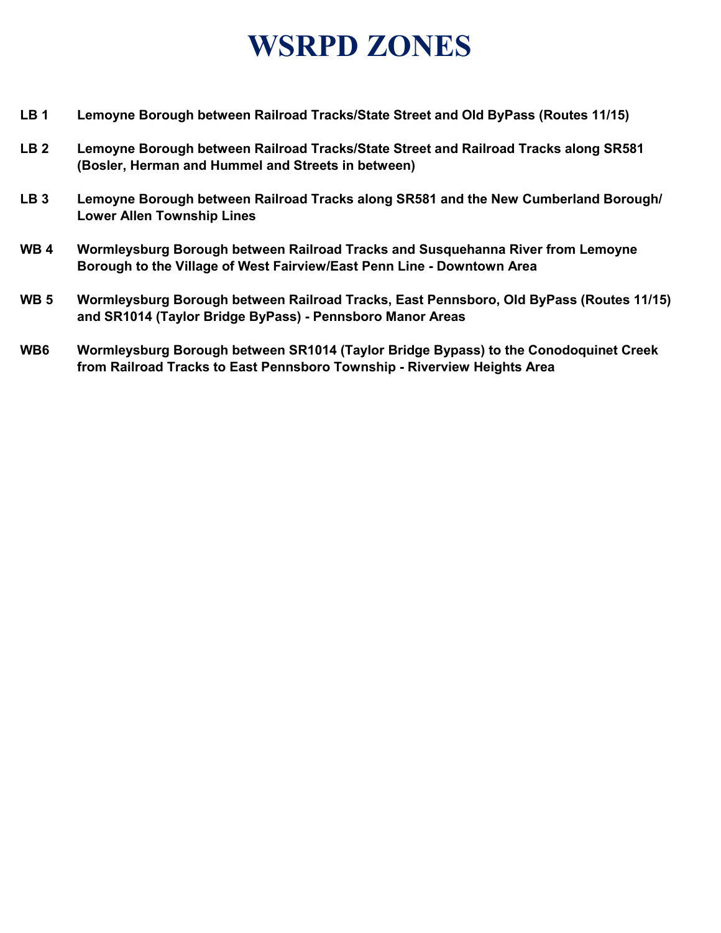# **WSRPD ZONES**

- **LB 1 Lemoyne Borough between Railroad Tracks/State Street and Old ByPass (Routes 11/15)**
- **LB 2 Lemoyne Borough between Railroad Tracks/State Street and Railroad Tracks along SR581 (Bosler, Herman and Hummel and Streets in between)**
- **LB 3 Lemoyne Borough between Railroad Tracks along SR581 and the New Cumberland Borough/ Lower Allen Township Lines**
- **WB 4 Wormleysburg Borough between Railroad Tracks and Susquehanna River from Lemoyne Borough to the Village of West Fairview/East Penn Line - Downtown Area**
- **WB 5 Wormleysburg Borough between Railroad Tracks, East Pennsboro, Old ByPass (Routes 11/15) and SR1014 (Taylor Bridge ByPass) - Pennsboro Manor Areas**
- **WB6 Wormleysburg Borough between SR1014 (Taylor Bridge Bypass) to the Conodoquinet Creek from Railroad Tracks to East Pennsboro Township - Riverview Heights Area**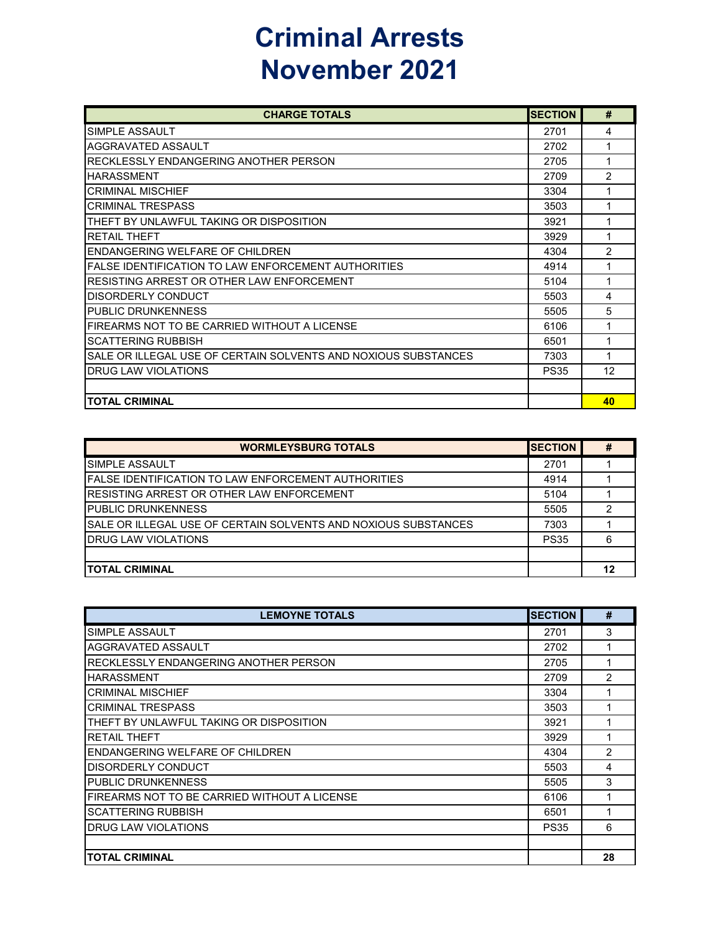# **Criminal Arrests November 2021**

| <b>CHARGE TOTALS</b>                                           | <b>SECTION</b> | #               |
|----------------------------------------------------------------|----------------|-----------------|
| SIMPLE ASSAULT                                                 | 2701           | 4               |
| AGGRAVATED ASSAULT                                             | 2702           |                 |
| RECKLESSLY ENDANGERING ANOTHER PERSON                          | 2705           |                 |
| <b>HARASSMENT</b>                                              | 2709           | 2               |
| <b>CRIMINAL MISCHIEF</b>                                       | 3304           |                 |
| <b>CRIMINAL TRESPASS</b>                                       | 3503           |                 |
| THEFT BY UNLAWFUL TAKING OR DISPOSITION                        | 3921           |                 |
| <b>RETAIL THEFT</b>                                            | 3929           |                 |
| ENDANGERING WELFARE OF CHILDREN                                | 4304           | $\mathfrak{p}$  |
| <b>FALSE IDENTIFICATION TO LAW ENFORCEMENT AUTHORITIES</b>     | 4914           |                 |
| RESISTING ARREST OR OTHER LAW ENFORCEMENT                      | 5104           |                 |
| <b>DISORDERLY CONDUCT</b>                                      | 5503           | 4               |
| <b>PUBLIC DRUNKENNESS</b>                                      | 5505           | 5               |
| FIREARMS NOT TO BE CARRIED WITHOUT A LICENSE                   | 6106           |                 |
| <b>SCATTERING RUBBISH</b>                                      | 6501           |                 |
| SALE OR ILLEGAL USE OF CERTAIN SOLVENTS AND NOXIOUS SUBSTANCES | 7303           |                 |
| DRUG LAW VIOLATIONS                                            | <b>PS35</b>    | 12 <sup>2</sup> |
|                                                                |                |                 |
| <b>TOTAL CRIMINAL</b>                                          |                | 40              |

| <b>WORMLEYSBURG TOTALS</b>                                             | <b>SECTION</b> | #  |
|------------------------------------------------------------------------|----------------|----|
| <b>ISIMPLE ASSAULT</b>                                                 | 2701           |    |
| <b>IFALSE IDENTIFICATION TO LAW ENFORCEMENT AUTHORITIES</b>            | 4914           |    |
| <b>IRESISTING ARREST OR OTHER LAW ENFORCEMENT</b>                      | 5104           |    |
| <b>IPUBLIC DRUNKENNESS</b>                                             | 5505           |    |
| <b>ISALE OR ILLEGAL USE OF CERTAIN SOLVENTS AND NOXIOUS SUBSTANCES</b> | 7303           |    |
| <b>IDRUG LAW VIOLATIONS</b>                                            | <b>PS35</b>    |    |
|                                                                        |                |    |
| ITOTAL CRIMINAL                                                        |                | 12 |

| <b>LEMOYNE TOTALS</b>                        | <b>SECTION</b> | #  |
|----------------------------------------------|----------------|----|
| SIMPLE ASSAULT                               | 2701           | 3  |
| AGGRAVATED ASSAULT                           | 2702           |    |
| RECKLESSLY ENDANGERING ANOTHER PERSON        | 2705           |    |
| <b>HARASSMENT</b>                            | 2709           | 2  |
| <b>CRIMINAL MISCHIEF</b>                     | 3304           |    |
| <b>CRIMINAL TRESPASS</b>                     | 3503           |    |
| THEFT BY UNLAWFUL TAKING OR DISPOSITION      | 3921           |    |
| <b>RETAIL THEFT</b>                          | 3929           |    |
| ENDANGERING WELFARE OF CHILDREN              | 4304           | 2  |
| DISORDERLY CONDUCT                           | 5503           | 4  |
| <b>PUBLIC DRUNKENNESS</b>                    | 5505           | 3  |
| FIREARMS NOT TO BE CARRIED WITHOUT A LICENSE | 6106           |    |
| <b>SCATTERING RUBBISH</b>                    | 6501           |    |
| DRUG LAW VIOLATIONS                          | <b>PS35</b>    | 6  |
|                                              |                |    |
| <b>TOTAL CRIMINAL</b>                        |                | 28 |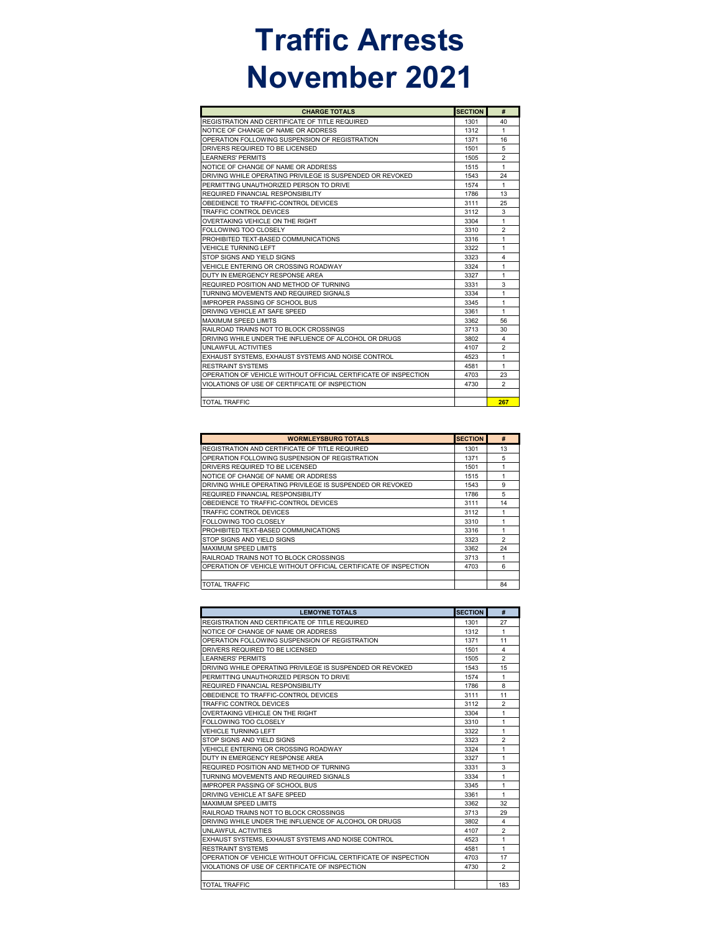# **Traffic Arrests November 2021**

| <b>CHARGE TOTALS</b>                                            | <b>SECTION</b> | #              |
|-----------------------------------------------------------------|----------------|----------------|
| REGISTRATION AND CERTIFICATE OF TITLE REQUIRED                  | 1301           | 40             |
| NOTICE OF CHANGE OF NAME OR ADDRESS                             | 1312           | $\mathbf{1}$   |
| OPERATION FOLLOWING SUSPENSION OF REGISTRATION                  | 1371           | 16             |
| DRIVERS REQUIRED TO BE LICENSED                                 | 1501           | 5              |
| <b>LEARNERS' PERMITS</b>                                        | 1505           | $\overline{2}$ |
| NOTICE OF CHANGE OF NAME OR ADDRESS                             | 1515           | 1              |
| DRIVING WHILE OPERATING PRIVILEGE IS SUSPENDED OR REVOKED       | 1543           | 24             |
| PERMITTING UNAUTHORIZED PERSON TO DRIVE                         | 1574           | $\mathbf{1}$   |
| REQUIRED FINANCIAL RESPONSIBILITY                               | 1786           | 13             |
| OBEDIENCE TO TRAFFIC-CONTROL DEVICES                            | 3111           | 25             |
| TRAFFIC CONTROL DEVICES                                         | 3112           | 3              |
| OVERTAKING VEHICLE ON THE RIGHT                                 | 3304           | $\mathbf{1}$   |
| FOLLOWING TOO CLOSELY                                           | 3310           | $\overline{2}$ |
| PROHIBITED TEXT-BASED COMMUNICATIONS                            | 3316           | $\mathbf{1}$   |
| <b>VEHICLE TURNING LEFT</b>                                     | 3322           | $\mathbf{1}$   |
| STOP SIGNS AND YIELD SIGNS                                      | 3323           | 4              |
| VEHICLE ENTERING OR CROSSING ROADWAY                            | 3324           | $\mathbf{1}$   |
| DUTY IN EMERGENCY RESPONSE AREA                                 | 3327           | 1              |
| REQUIRED POSITION AND METHOD OF TURNING                         | 3331           | 3              |
| TURNING MOVEMENTS AND REQUIRED SIGNALS                          | 3334           | 1              |
| <b>IMPROPER PASSING OF SCHOOL BUS</b>                           | 3345           | $\mathbf{1}$   |
| DRIVING VEHICLE AT SAFE SPEED                                   | 3361           | 1              |
| <b>MAXIMUM SPEED LIMITS</b>                                     | 3362           | 56             |
| RAILROAD TRAINS NOT TO BLOCK CROSSINGS                          | 3713           | 30             |
| DRIVING WHILE UNDER THE INFLUENCE OF ALCOHOL OR DRUGS           | 3802           | 4              |
| UNLAWFUL ACTIVITIES                                             | 4107           | $\overline{2}$ |
| EXHAUST SYSTEMS. EXHAUST SYSTEMS AND NOISE CONTROL              | 4523           | $\mathbf{1}$   |
| <b>RESTRAINT SYSTEMS</b>                                        | 4581           | $\mathbf{1}$   |
| OPERATION OF VEHICLE WITHOUT OFFICIAL CERTIFICATE OF INSPECTION | 4703           | 23             |
| VIOLATIONS OF USE OF CERTIFICATE OF INSPECTION                  | 4730           | $\overline{2}$ |
| TOTAL TRAFFIC                                                   |                | 267            |

| <b>WORMLEYSBURG TOTALS</b>                                      | <b>SECTION</b> | #              |
|-----------------------------------------------------------------|----------------|----------------|
| REGISTRATION AND CERTIFICATE OF TITLE REQUIRED                  | 1301           | 13             |
| OPERATION FOLLOWING SUSPENSION OF REGISTRATION                  | 1371           | 5              |
| DRIVERS REQUIRED TO BE LICENSED                                 | 1501           |                |
| NOTICE OF CHANGE OF NAME OR ADDRESS                             | 1515           |                |
| DRIVING WHILE OPERATING PRIVILEGE IS SUSPENDED OR REVOKED       | 1543           | 9              |
| REQUIRED FINANCIAL RESPONSIBILITY                               | 1786           | 5              |
| OBEDIENCE TO TRAFFIC-CONTROL DEVICES                            | 3111           | 14             |
| TRAFFIC CONTROL DEVICES                                         | 3112           |                |
| FOLLOWING TOO CLOSELY                                           | 3310           |                |
| PROHIBITED TEXT-BASED COMMUNICATIONS                            | 3316           |                |
| STOP SIGNS AND YIELD SIGNS                                      | 3323           | $\overline{c}$ |
| MAXIMUM SPEED LIMITS                                            | 3362           | 24             |
| RAILROAD TRAINS NOT TO BLOCK CROSSINGS                          | 3713           |                |
| OPERATION OF VEHICLE WITHOUT OFFICIAL CERTIFICATE OF INSPECTION | 4703           | 6              |
|                                                                 |                |                |
| <b>TOTAL TRAFFIC</b>                                            |                | 84             |

| <b>LEMOYNE TOTALS</b>                                           | <b>SECTION</b> | #                       |
|-----------------------------------------------------------------|----------------|-------------------------|
| REGISTRATION AND CERTIFICATE OF TITLE REQUIRED.                 | 1301           | 27                      |
| NOTICE OF CHANGE OF NAME OR ADDRESS                             | 1312           | $\mathbf{1}$            |
| OPERATION FOLLOWING SUSPENSION OF REGISTRATION                  | 1371           | 11                      |
| DRIVERS REQUIRED TO BE LICENSED                                 | 1501           | $\overline{\mathbf{4}}$ |
| <b>LEARNERS' PERMITS</b>                                        | 1505           | $\overline{2}$          |
| DRIVING WHILE OPERATING PRIVILEGE IS SUSPENDED OR REVOKED       | 1543           | 15                      |
| PERMITTING UNAUTHORIZED PERSON TO DRIVE                         | 1574           | 1                       |
| REQUIRED FINANCIAL RESPONSIBILITY                               | 1786           | 8                       |
| OBEDIENCE TO TRAFFIC-CONTROL DEVICES                            | 3111           | 11                      |
| TRAFFIC CONTROL DEVICES                                         | 3112           | $\overline{2}$          |
| OVERTAKING VEHICLE ON THE RIGHT                                 | 3304           | 1                       |
| FOLLOWING TOO CLOSELY                                           | 3310           | 1                       |
| <b>VEHICLE TURNING LEFT</b>                                     | 3322           | $\mathbf{1}$            |
| STOP SIGNS AND YIELD SIGNS                                      | 3323           | $\overline{2}$          |
| VEHICLE ENTERING OR CROSSING ROADWAY                            | 3324           | 1                       |
| DUTY IN EMERGENCY RESPONSE AREA                                 | 3327           | $\mathbf{1}$            |
| REQUIRED POSITION AND METHOD OF TURNING                         | 3331           | 3                       |
| TURNING MOVEMENTS AND REQUIRED SIGNALS                          | 3334           | $\mathbf{1}$            |
| <b>IMPROPER PASSING OF SCHOOL BUS</b>                           | 3345           | 1                       |
| DRIVING VEHICLE AT SAFE SPEED                                   | 3361           | $\mathbf{1}$            |
| MAXIMUM SPEED LIMITS                                            | 3362           | 32                      |
| RAILROAD TRAINS NOT TO BLOCK CROSSINGS                          | 3713           | 29                      |
| DRIVING WHILE UNDER THE INFLUENCE OF ALCOHOL OR DRUGS           | 3802           | 4                       |
| UNLAWFUL ACTIVITIES                                             | 4107           | $\overline{2}$          |
| EXHAUST SYSTEMS. EXHAUST SYSTEMS AND NOISE CONTROL              | 4523           | $\mathbf{1}$            |
| <b>RESTRAINT SYSTEMS</b>                                        | 4581           | $\mathbf{1}$            |
| OPERATION OF VEHICLE WITHOUT OFFICIAL CERTIFICATE OF INSPECTION | 4703           | 17                      |
| VIOLATIONS OF USE OF CERTIFICATE OF INSPECTION                  | 4730           | $\overline{2}$          |
| <b>TOTAL TRAFFIC</b>                                            |                | 183                     |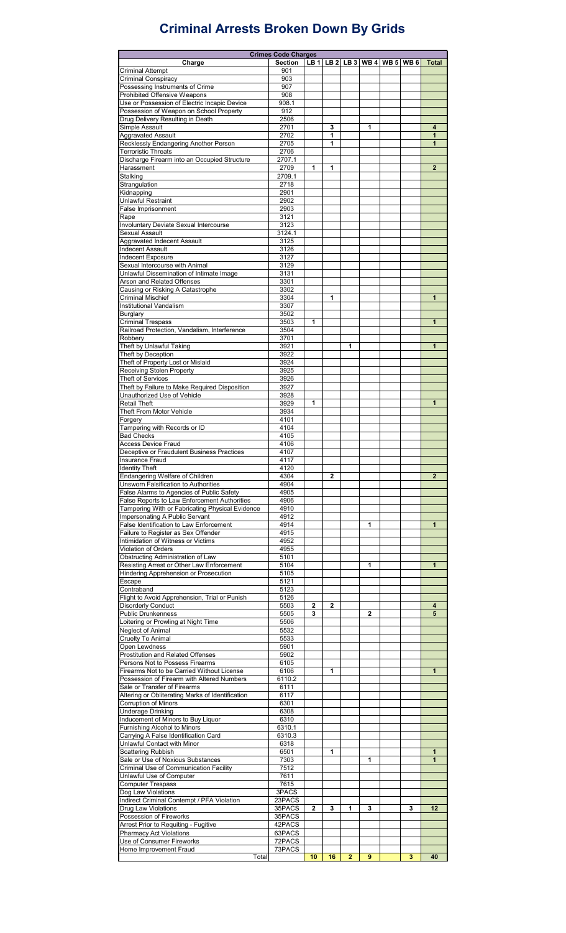## **Criminal Arrests Broken Down By Grids**

|                                                                                   |       | <b>Crimes Code Charges</b><br><b>Section</b> |              |                |                | LB 1 LB 2 LB 3 WB 4 WB 5 WB 6 |   |                |
|-----------------------------------------------------------------------------------|-------|----------------------------------------------|--------------|----------------|----------------|-------------------------------|---|----------------|
| Charge<br><b>Criminal Attempt</b>                                                 |       | 901                                          |              |                |                |                               |   | <b>Total</b>   |
| <b>Criminal Conspiracy</b>                                                        |       | 903                                          |              |                |                |                               |   |                |
| Possessing Instruments of Crime                                                   |       | 907                                          |              |                |                |                               |   |                |
| Prohibited Offensive Weapons                                                      |       | 908                                          |              |                |                |                               |   |                |
| Use or Possession of Electric Incapic Device                                      |       | 908.1                                        |              |                |                |                               |   |                |
| Possession of Weapon on School Property                                           |       | 912                                          |              |                |                |                               |   |                |
| Drug Delivery Resulting in Death                                                  |       | 2506                                         |              |                |                |                               |   |                |
| Simple Assault                                                                    |       | 2701                                         |              | 3              |                | 1                             |   | 4              |
| <b>Aggravated Assault</b>                                                         |       | 2702                                         |              | 1              |                |                               |   | 1              |
| Recklessly Endangering Another Person                                             |       | 2705                                         |              | 1              |                |                               |   | 1              |
| <b>Terroristic Threats</b>                                                        |       | 2706                                         |              |                |                |                               |   |                |
| Discharge Firearm into an Occupied Structure                                      |       | 2707.1<br>2709                               | 1            | 1              |                |                               |   | $\overline{2}$ |
| Harassment<br>Stalking                                                            |       | 2709.1                                       |              |                |                |                               |   |                |
| Strangulation                                                                     |       | 2718                                         |              |                |                |                               |   |                |
| Kidnapping                                                                        |       | 2901                                         |              |                |                |                               |   |                |
| Unlawful Restraint                                                                |       | 2902                                         |              |                |                |                               |   |                |
| False Imprisonment                                                                |       | 2903                                         |              |                |                |                               |   |                |
| Rape                                                                              |       | 3121                                         |              |                |                |                               |   |                |
| Involuntary Deviate Sexual Intercourse                                            |       | 3123                                         |              |                |                |                               |   |                |
| <b>Sexual Assault</b>                                                             |       | 3124.1                                       |              |                |                |                               |   |                |
| Aggravated Indecent Assault                                                       |       | 3125                                         |              |                |                |                               |   |                |
| <b>Indecent Assault</b>                                                           |       | 3126                                         |              |                |                |                               |   |                |
| <b>Indecent Exposure</b>                                                          |       | 3127                                         |              |                |                |                               |   |                |
| Sexual Intercourse with Animal                                                    |       | 3129                                         |              |                |                |                               |   |                |
| Unlawful Dissemination of Intimate Image                                          |       | 3131                                         |              |                |                |                               |   |                |
| Arson and Related Offenses<br>Causing or Risking A Catastrophe                    |       | 3301<br>3302                                 |              |                |                |                               |   |                |
| <b>Criminal Mischief</b>                                                          |       | 3304                                         |              | 1              |                |                               |   | 1              |
| Institutional Vandalism                                                           |       | 3307                                         |              |                |                |                               |   |                |
| Burglary                                                                          |       | 3502                                         |              |                |                |                               |   |                |
| <b>Criminal Trespass</b>                                                          |       | 3503                                         | 1            |                |                |                               |   | 1              |
| Railroad Protection, Vandalism, Interference                                      |       | 3504                                         |              |                |                |                               |   |                |
| Robbery                                                                           |       | 3701                                         |              |                |                |                               |   |                |
| Theft by Unlawful Taking                                                          |       | 3921                                         |              |                | 1              |                               |   | 1              |
| Theft by Deception                                                                |       | 3922                                         |              |                |                |                               |   |                |
| Theft of Property Lost or Mislaid                                                 |       | 3924                                         |              |                |                |                               |   |                |
| Receiving Stolen Property                                                         |       | 3925                                         |              |                |                |                               |   |                |
| <b>Theft of Services</b>                                                          |       | 3926                                         |              |                |                |                               |   |                |
| Theft by Failure to Make Required Disposition                                     |       | 3927                                         |              |                |                |                               |   |                |
| Unauthorized Use of Vehicle                                                       |       | 3928                                         |              |                |                |                               |   | 1              |
| <b>Retail Theft</b><br>Theft From Motor Vehicle                                   |       | 3929<br>3934                                 | 1            |                |                |                               |   |                |
| Forgery                                                                           |       | 4101                                         |              |                |                |                               |   |                |
| Tampering with Records or ID                                                      |       | 4104                                         |              |                |                |                               |   |                |
| <b>Bad Checks</b>                                                                 |       | 4105                                         |              |                |                |                               |   |                |
| <b>Access Device Fraud</b>                                                        |       | 4106                                         |              |                |                |                               |   |                |
| Deceptive or Fraudulent Business Practices                                        |       | 4107                                         |              |                |                |                               |   |                |
| <b>Insurance Fraud</b>                                                            |       | 4117                                         |              |                |                |                               |   |                |
| <b>Identity Theft</b>                                                             |       | 4120                                         |              |                |                |                               |   |                |
| Endangering Welfare of Children                                                   |       | 4304                                         |              | $\overline{2}$ |                |                               |   | $\overline{2}$ |
| Unsworn Falsification to Authorities                                              |       | 4904                                         |              |                |                |                               |   |                |
| False Alarms to Agencies of Public Safety                                         |       | 4905                                         |              |                |                |                               |   |                |
| False Reports to Law Enforcement Authorities                                      |       | 4906                                         |              |                |                |                               |   |                |
| Tampering With or Fabricating Physical Evidence<br>Impersonating A Public Servant |       | 4910<br>4912                                 |              |                |                |                               |   |                |
| False Identification to Law Enforcement                                           |       | 4914                                         |              |                |                | 1                             |   | 1              |
| Failure to Register as Sex Offender                                               |       | 4915                                         |              |                |                |                               |   |                |
| Intimidation of Witness or Victims                                                |       | 4952                                         |              |                |                |                               |   |                |
| Violation of Orders                                                               |       | 4955                                         |              |                |                |                               |   |                |
| Obstructing Administration of Law                                                 |       | 5101                                         |              |                |                |                               |   |                |
| Resisting Arrest or Other Law Enforcement                                         |       | 5104                                         |              |                |                | 1                             |   | 1              |
| Hindering Apprehension or Prosecution                                             |       | 5105                                         |              |                |                |                               |   |                |
| Escape                                                                            |       | 5121                                         |              |                |                |                               |   |                |
| Contraband                                                                        |       | 5123                                         |              |                |                |                               |   |                |
| Flight to Avoid Apprehension, Trial or Punish                                     |       | 5126                                         |              |                |                |                               |   |                |
| <b>Disorderly Conduct</b>                                                         |       | 5503                                         | $\mathbf{2}$ | $\overline{2}$ |                |                               |   | 4              |
| <b>Public Drunkenness</b>                                                         |       | 5505                                         | 3            |                |                | $\overline{2}$                |   | 5              |
| Loitering or Prowling at Night Time                                               |       | 5506<br>5532                                 |              |                |                |                               |   |                |
| Neglect of Animal<br><b>Cruelty To Animal</b>                                     |       | 5533                                         |              |                |                |                               |   |                |
| Open Lewdness                                                                     |       | 5901                                         |              |                |                |                               |   |                |
| <b>Prostitution and Related Offenses</b>                                          |       | 5902                                         |              |                |                |                               |   |                |
| Persons Not to Possess Firearms                                                   |       | 6105                                         |              |                |                |                               |   |                |
| Firearms Not to be Carried Without License                                        |       | 6106                                         |              | 1              |                |                               |   | 1              |
| Possession of Firearm with Altered Numbers                                        |       | 6110.2                                       |              |                |                |                               |   |                |
| Sale or Transfer of Firearms                                                      |       | 6111                                         |              |                |                |                               |   |                |
| Altering or Obliterating Marks of Identification                                  |       | 6117                                         |              |                |                |                               |   |                |
| Corruption of Minors                                                              |       | 6301                                         |              |                |                |                               |   |                |
| Underage Drinking                                                                 |       | 6308                                         |              |                |                |                               |   |                |
| Inducement of Minors to Buy Liquor                                                |       | 6310                                         |              |                |                |                               |   |                |
| Furnishing Alcohol to Minors                                                      |       | 6310.1                                       |              |                |                |                               |   |                |
| Carrying A False Identification Card                                              |       | 6310.3                                       |              |                |                |                               |   |                |
| Unlawful Contact with Minor<br>Scattering Rubbish                                 |       | 6318<br>6501                                 |              | 1              |                |                               |   | 1              |
| Sale or Use of Noxious Substances                                                 |       | 7303                                         |              |                |                | 1                             |   | 1              |
| Criminal Use of Communication Facility                                            |       | 7512                                         |              |                |                |                               |   |                |
| Unlawful Use of Computer                                                          |       | 7611                                         |              |                |                |                               |   |                |
| <b>Computer Trespass</b>                                                          |       | 7615                                         |              |                |                |                               |   |                |
| Dog Law Violations                                                                |       | 3PACS                                        |              |                |                |                               |   |                |
| Indirect Criminal Contempt / PFA Violation                                        |       | 23PACS                                       |              |                |                |                               |   |                |
| Drug Law Violations                                                               |       | 35PACS                                       | $\mathbf{2}$ | 3              | 1              | 3                             | 3 | 12             |
| Possession of Fireworks                                                           |       | 35PACS                                       |              |                |                |                               |   |                |
| Arrest Prior to Requiting - Fugitive                                              |       | 42PACS                                       |              |                |                |                               |   |                |
| <b>Pharmacy Act Violations</b>                                                    |       | 63PACS                                       |              |                |                |                               |   |                |
| Use of Consumer Fireworks                                                         |       | 72PACS                                       |              |                |                |                               |   |                |
| Home Improvement Fraud                                                            |       | 73PACS                                       | 10           |                | $\overline{2}$ | 9                             |   | 40             |
|                                                                                   | Total |                                              |              | 16             |                |                               | 3 |                |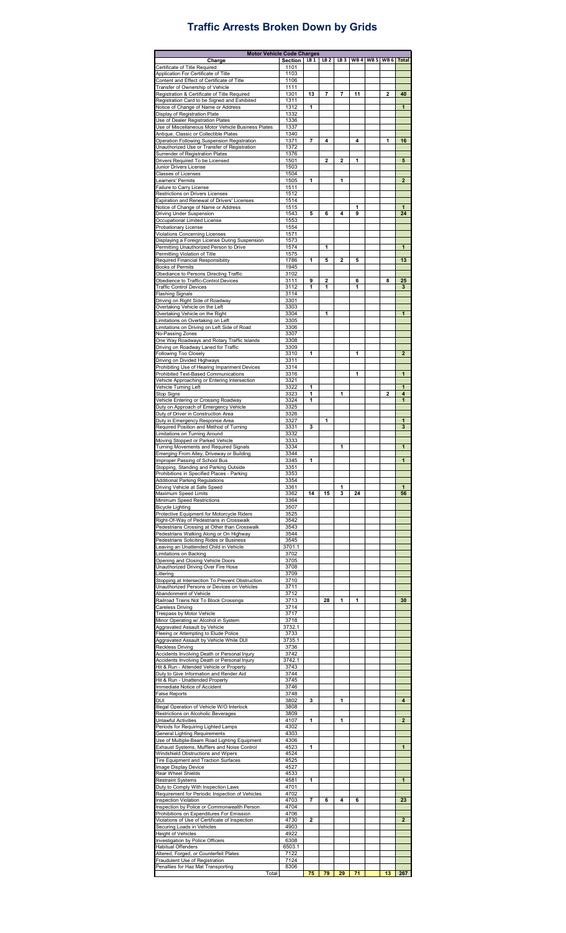### **Traffic Arrests Broken Down by Grids**

| <b>Motor Vehicle Code Charges</b>                                                            |                |                 |                 |                 |        |                |                 |                         |
|----------------------------------------------------------------------------------------------|----------------|-----------------|-----------------|-----------------|--------|----------------|-----------------|-------------------------|
| Charge                                                                                       | Section        | LB <sub>1</sub> | LB <sub>2</sub> | LB <sub>3</sub> |        | <b>WB4 WB5</b> | WB <sub>6</sub> | <b>Total</b>            |
| Certificate of Title Required<br>Application For Certificate of Title                        | 1101<br>1103   |                 |                 |                 |        |                |                 |                         |
| Content and Effect of Certificate of Title                                                   | 1106           |                 |                 |                 |        |                |                 |                         |
| Transfer of Ownership of Vehicle                                                             | 1111           |                 |                 |                 |        |                |                 |                         |
| Registration & Certificate of Title Required                                                 | 1301           | 13              | 7               | $\overline{7}$  | 11     |                | $\overline{2}$  | 40                      |
| Registration Card to be Signed and Exhibited                                                 | 1311           |                 |                 |                 |        |                |                 |                         |
| Notice of Change of Name or Address<br>Display of Registration Plate                         | 1312<br>1332   | 1               |                 |                 |        |                |                 | 1                       |
| Use of Dealer Registration Plates                                                            | 1336           |                 |                 |                 |        |                |                 |                         |
| Use of Miscellaneous Motor Vehicle Business Plates                                           | 1337           |                 |                 |                 |        |                |                 |                         |
| Antique, Classic or Collectible Plates                                                       | 1340           |                 |                 |                 |        |                |                 |                         |
| Operation Following Suspension Registration<br>Unauthorized Use or Transfer of Registration  | 1371<br>1372   | 7               | 4               |                 | 4      |                | 1               | 16                      |
| Surrender of Registration Plates                                                             | 1376           |                 |                 |                 |        |                |                 |                         |
| Drivers Required To be Licensed                                                              | 1501           |                 | 2               | $\overline{2}$  | 1      |                |                 | 5                       |
| Junior Drivers License                                                                       | 1503           |                 |                 |                 |        |                |                 |                         |
| Classes of Licenses                                                                          | 1504           |                 |                 |                 |        |                |                 |                         |
| Learners' Permits<br>Failure to Carry License                                                | 1505<br>1511   | 1               |                 | 1               |        |                |                 | $\overline{a}$          |
| Restrictions on Drivers Licenses                                                             | 1512           |                 |                 |                 |        |                |                 |                         |
| Expiration and Renewal of Drivers' Licenses                                                  | 1514           |                 |                 |                 |        |                |                 |                         |
| Notice of Change of Name or Address                                                          | 1515           |                 |                 |                 | 1      |                |                 | 1                       |
| Driving Under Suspension                                                                     | 1543           | 5               | 6               | 4               | 9      |                |                 | 24                      |
| Occupational Limited License                                                                 | 1553           |                 |                 |                 |        |                |                 |                         |
| Probationary License<br><b>Violations Concerning Licenses</b>                                | 1554<br>1571   |                 |                 |                 |        |                |                 |                         |
| Displaying a Foreign License During Suspension                                               | 1573           |                 |                 |                 |        |                |                 |                         |
| Permitting Unauthorized Person to Drive                                                      | 1574           |                 | 1               |                 |        |                |                 | 1                       |
| Permitting Violation of Title                                                                | 1575           |                 |                 |                 |        |                |                 |                         |
| Required Financial Responsibility                                                            | 1786           | 1               | 5               | $\overline{2}$  | 5      |                |                 | 13                      |
| <b>Books of Permits</b>                                                                      | 1945           |                 |                 |                 |        |                |                 |                         |
| Obediance to Persons Directing Traffic                                                       | 3102<br>3111   |                 |                 |                 |        |                |                 |                         |
| Obedience to Traffic-Control Devices<br><b>Traffic Control Devices</b>                       | 3112           | 9<br>1          | 2<br>1          |                 | 6<br>1 |                | 8               | 25<br>3                 |
| <b>Flashing Signals</b>                                                                      | 3114           |                 |                 |                 |        |                |                 |                         |
| Driving on Right Side of Roadway                                                             | 3301           |                 |                 |                 |        |                |                 |                         |
| Overtaking Vehicle on the Left                                                               | 3303           |                 |                 |                 |        |                |                 |                         |
| Overtaking Vehicle on the Right                                                              | 3304           |                 | 1               |                 |        |                |                 | 1                       |
| Limitations on Overtaking on Left                                                            | 3305           |                 |                 |                 |        |                |                 |                         |
| Limitations on Driving on Left Side of Road<br>No-Passing Zones                              | 3306<br>3307   |                 |                 |                 |        |                |                 |                         |
| One Way Roadways and Rotary Traffic Islands                                                  | 3308           |                 |                 |                 |        |                |                 |                         |
| Driving on Roadway Laned for Traffic                                                         | 3309           |                 |                 |                 |        |                |                 |                         |
| <b>Following Too Closely</b>                                                                 | 3310           | 1               |                 |                 | 1      |                |                 | $\overline{2}$          |
| Driving on Divided Highways                                                                  | 3311           |                 |                 |                 |        |                |                 |                         |
| Prohibiting Use of Hearing Impariment Devices                                                | 3314           |                 |                 |                 |        |                |                 |                         |
| Prohibited Text-Based Communications                                                         | 3316<br>3321   |                 |                 |                 | 1      |                |                 | 1                       |
| Vehicle Approaching or Entering Intersection<br>Vehicle Turning Left                         | 3322           | 1               |                 |                 |        |                |                 | 1                       |
| Stop Signs                                                                                   | 3323           | 1               |                 | 1               |        |                | $\overline{2}$  | 4                       |
| Vehicle Entering or Crossing Roadway                                                         | 3324           | 1               |                 |                 |        |                |                 | 1                       |
| Duty on Approach of Emergency Vehicle                                                        | 3325           |                 |                 |                 |        |                |                 |                         |
| Duty of Driver in Construction Area                                                          | 3326           |                 |                 |                 |        |                |                 |                         |
| Duty in Emergency Response Area<br>Required Position and Method of Turning                   | 3327<br>3331   | 3               | 1               |                 |        |                |                 | 1<br>3                  |
| Limitations on Turning Around                                                                | 3332           |                 |                 |                 |        |                |                 |                         |
| Moving Stopped or Parked Vehicle                                                             | 3333           |                 |                 |                 |        |                |                 |                         |
| Turning Movements and Required Signals                                                       | 3334           |                 |                 | 1               |        |                |                 | 1                       |
| Emerging From Alley, Driveway or Building                                                    | 3344           |                 |                 |                 |        |                |                 |                         |
| Improper Passing of School Bus                                                               | 3345           | 1               |                 |                 |        |                |                 | 1                       |
| Stopping, Standing and Parking Outside                                                       | 3351           |                 |                 |                 |        |                |                 |                         |
| Prohibitions in Specified Places - Parking<br><b>Additional Parking Regulations</b>          | 3353<br>3354   |                 |                 |                 |        |                |                 |                         |
| Driving Vehicle at Safe Speed                                                                | 3361           |                 |                 | 1               |        |                |                 | $\mathbf{1}$            |
| Maximum Speed Limits                                                                         | 3362           | 14              | 15              | 3               | 24     |                |                 | 56                      |
| Minimum Speed Restrictions                                                                   | 3364           |                 |                 |                 |        |                |                 |                         |
| <b>Bicycle Lighting</b>                                                                      | 3507           |                 |                 |                 |        |                |                 |                         |
| Protective Equipment for Motorcycle Riders                                                   | 3525           |                 |                 |                 |        |                |                 |                         |
| Right-Of-Way of Pedestrians in Crosswalk<br>Pedestrians Crossing at Other than Crosswalk     | 3542<br>3543   |                 |                 |                 |        |                |                 |                         |
| Pedestrians Walking Along or On Highway                                                      | 3544           |                 |                 |                 |        |                |                 |                         |
| Pedestrians Soliciting Rides or Business                                                     | 3545           |                 |                 |                 |        |                |                 |                         |
| Leaving an Unattended Child in Vehicle                                                       | 3701.1         |                 |                 |                 |        |                |                 |                         |
| Limitations on Backing                                                                       | 3702           |                 |                 |                 |        |                |                 |                         |
| Opening and Closing Vehicle Doors                                                            | 3705           |                 |                 |                 |        |                |                 |                         |
| Unauthorized Driving Over Fire Hose<br>Littering                                             | 3708<br>3709   |                 |                 |                 |        |                |                 |                         |
| Stopping at Intersection To Prevent Obstruction                                              | 3710           |                 |                 |                 |        |                |                 |                         |
| Unauthorized Persons or Devices on Vehicles                                                  | 3711           |                 |                 |                 |        |                |                 |                         |
| Abandonment of Vehicle                                                                       | 3712           |                 |                 |                 |        |                |                 |                         |
| Railroad Trains Not To Block Crossings                                                       | 3713           |                 | 28              | 1               | 1      |                |                 | 30                      |
| Careless Driving                                                                             | 3714           |                 |                 |                 |        |                |                 |                         |
| Trespass by Motor Vehicle<br>Minor Operating w/ Alcohol in System                            | 3717<br>3718   |                 |                 |                 |        |                |                 |                         |
| Aggravated Assault by Vehicle                                                                | 3732.1         |                 |                 |                 |        |                |                 |                         |
| Fleeing or Attempting to Elude Police                                                        | 3733           |                 |                 |                 |        |                |                 |                         |
| Aggravated Assault by Vehicle While DUI                                                      | 3735.1         |                 |                 |                 |        |                |                 |                         |
| <b>Reckless Driving</b>                                                                      | 3736           |                 |                 |                 |        |                |                 |                         |
| Accidents Involving Death or Personal Injury<br>Accidents Involving Death or Personal Injury | 3742<br>3742.1 |                 |                 |                 |        |                |                 |                         |
| Hit & Run - Attended Vehicle or Property                                                     | 3743           |                 |                 |                 |        |                |                 |                         |
| Duty to Give Information and Render Aid                                                      | 3744           |                 |                 |                 |        |                |                 |                         |
| Hit & Run - Unattended Property                                                              | 3745           |                 |                 |                 |        |                |                 |                         |
| Immediate Notice of Accident                                                                 | 3746           |                 |                 |                 |        |                |                 |                         |
| <b>False Reports</b>                                                                         | 3748           |                 |                 |                 |        |                |                 |                         |
| DUI                                                                                          | 3802           | 3               |                 | 1               |        |                |                 | $\overline{\mathbf{4}}$ |
| Illegal Operation of Vehicle W/O Interlock<br>Restrictions on Alcoholic Beverages            | 3808<br>3809   |                 |                 |                 |        |                |                 |                         |
| Unlawful Activities                                                                          | 4107           | 1               |                 | 1               |        |                |                 | $\overline{2}$          |
| Periods for Requiring Lighted Lamps                                                          | 4302           |                 |                 |                 |        |                |                 |                         |
| General Lighting Requirements                                                                | 4303           |                 |                 |                 |        |                |                 |                         |
| Use of Multiple-Beam Road Lighting Equipment                                                 | 4306           |                 |                 |                 |        |                |                 |                         |
| Exhaust Systems, Mufflers and Noise Control<br>Windshield Obstructions and Wipers            | 4523<br>4524   | 1               |                 |                 |        |                |                 | 1                       |
| Tire Equipment and Traction Surfaces                                                         | 4525           |                 |                 |                 |        |                |                 |                         |
| Image Display Device                                                                         | 4527           |                 |                 |                 |        |                |                 |                         |
| Rear Wheel Shields                                                                           | 4533           |                 |                 |                 |        |                |                 |                         |
| <b>Restraint Systems</b>                                                                     | 4581           | 1               |                 |                 |        |                |                 | 1                       |
| Duty to Comply With Inspection Laws                                                          | 4701           |                 |                 |                 |        |                |                 |                         |
| Requirement for Periodic Inspection of Vehicles                                              | 4702           |                 |                 |                 |        |                |                 |                         |
| <b>Inspection Violation</b>                                                                  | 4703           | $\overline{7}$  | 6               | 4               | 6      |                |                 | 23                      |
| Inspection by Police or Commonwealth Person<br>Prohibitions on Expenditures For Emission     | 4704<br>4706   |                 |                 |                 |        |                |                 |                         |
| Violations of Use of Certificate of Inspection                                               | 4730           | 2               |                 |                 |        |                |                 | $\mathbf{z}$            |
| Securing Loads in Vehicles                                                                   | 4903           |                 |                 |                 |        |                |                 |                         |
| <b>Height of Vehicles</b>                                                                    | 4922           |                 |                 |                 |        |                |                 |                         |
| <b>Investigation by Police Officers</b>                                                      | 6308           |                 |                 |                 |        |                |                 |                         |
| <b>Habitual Offenders</b><br>Altered, Forged, or Counterfeit Plates                          | 6503.1<br>7122 |                 |                 |                 |        |                |                 |                         |
| Fraudulent Use of Registration                                                               | 7124           |                 |                 |                 |        |                |                 |                         |
| Penalties for Haz Mat Transporting                                                           | 8306           |                 |                 |                 |        |                |                 |                         |
| Total                                                                                        |                | 75              | 79              | 29              | 71     |                | 13              | 267                     |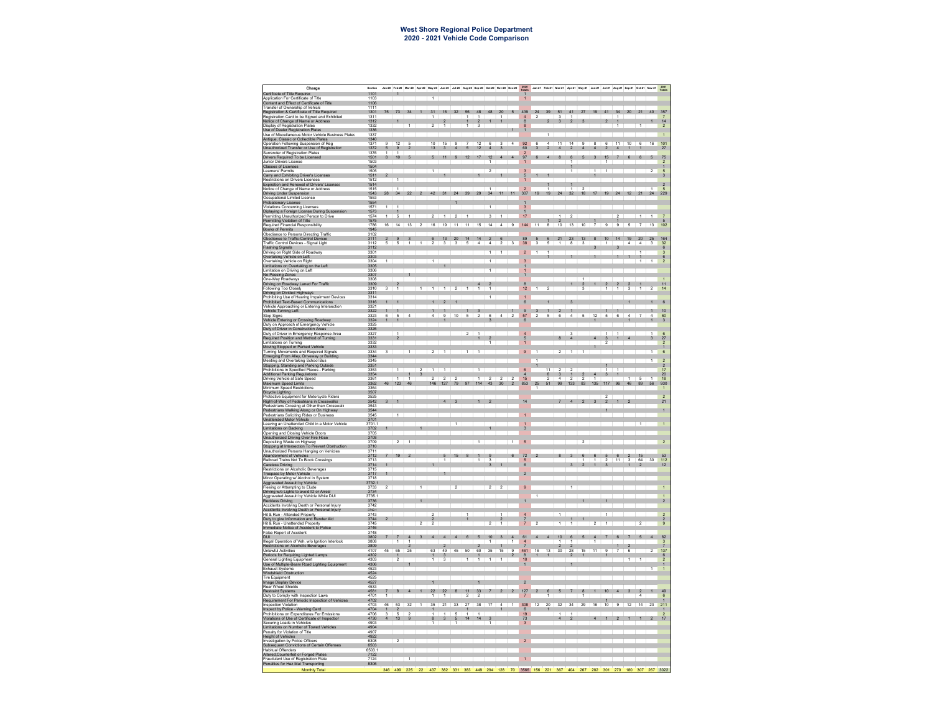| Charge                                                                                                                                                                                                                                              | Section                |                         | Jan-20 Feb-20 Mar-20 Apr-20 May-20 Jun-20 Jul-20 Aug-20 Sep-20 Oct-20 Nov-20 Dec-20 |                 |                |                     |                                        |                |                 |                         |                             |                         |                | 2020<br>Totals                                |                |                                       |                 |                | Jan-21 Feb-21 Mar-21 Apr-21 May-21 Jun-21 Jul-21 Aug-21 Sep-21 Oct-21 Nov-21 Totals                 |                           |                         |                                        |                |                      |                           |                                              |
|-----------------------------------------------------------------------------------------------------------------------------------------------------------------------------------------------------------------------------------------------------|------------------------|-------------------------|-------------------------------------------------------------------------------------|-----------------|----------------|---------------------|----------------------------------------|----------------|-----------------|-------------------------|-----------------------------|-------------------------|----------------|-----------------------------------------------|----------------|---------------------------------------|-----------------|----------------|-----------------------------------------------------------------------------------------------------|---------------------------|-------------------------|----------------------------------------|----------------|----------------------|---------------------------|----------------------------------------------|
| ertificate of Title Required                                                                                                                                                                                                                        | 1101                   |                         |                                                                                     |                 |                |                     |                                        |                |                 |                         |                             |                         |                |                                               |                |                                       |                 |                |                                                                                                     |                           |                         |                                        |                |                      |                           |                                              |
| Application For Certificate of Title<br>Content and Effect of Certificate of Title<br>Transfer of Ownership of Vehicle<br>Registration & Certificate of Title Required                                                                              | 1103<br>1106           |                         |                                                                                     |                 |                |                     |                                        |                |                 |                         |                             |                         |                |                                               |                |                                       |                 |                |                                                                                                     |                           |                         |                                        |                |                      |                           |                                              |
|                                                                                                                                                                                                                                                     | 1301                   | 75                      | 73                                                                                  | 34              |                | 31                  | 16                                     |                |                 | 32 56 48 48 20          |                             |                         | 5              | 439                                           |                |                                       |                 |                | 24 39 51 41 27                                                                                      |                           |                         | 19 41 34 20 21                         |                |                      | 40                        | 357                                          |
| Registration Card to be Signed and Exhibited<br>Registration Card to be Signed and Exhibited<br>Notice of Change of Name or Address<br>Display of Registration Plates<br>Use of Dealer Registration Plates                                          | 1311<br>1312           |                         |                                                                                     |                 |                |                     | $\overline{2}$                         |                |                 |                         |                             |                         |                |                                               |                |                                       |                 |                | $\overline{3}$                                                                                      |                           | $\mathfrak{p}$          |                                        |                |                      |                           |                                              |
|                                                                                                                                                                                                                                                     | 1332<br>1336           |                         |                                                                                     |                 |                | $\overline{2}$      |                                        |                |                 |                         | $\frac{2}{3}$ $\frac{1}{1}$ |                         |                |                                               |                |                                       |                 |                |                                                                                                     |                           |                         |                                        |                |                      |                           |                                              |
| Use of Dealer Registration Plates<br>Use of Miscellaneous Motor Vehicle Business Plates<br>Antaque, Classic or Collectible Plates<br>Operation Following Suspension of Reg<br>Unauthorized Transfer or Use of Registration<br>Surrender of Re       | 1337                   |                         |                                                                                     |                 |                |                     |                                        |                |                 |                         |                             |                         |                |                                               |                |                                       |                 |                |                                                                                                     |                           |                         |                                        |                |                      |                           |                                              |
|                                                                                                                                                                                                                                                     | 1340                   |                         | $9 \ 12$                                                                            | $\overline{5}$  |                | 10                  | 15                                     | 9              |                 | 71263                   |                             |                         | $\overline{4}$ | 92                                            | 6              | $\overline{4}$                        | 11              |                | $14$   9   8   6   11   10   6                                                                      |                           |                         |                                        |                |                      | 16                        | 10 <sup>1</sup>                              |
|                                                                                                                                                                                                                                                     | 1372<br>1376           | $\frac{5}{1}$           | $\frac{9}{1}$                                                                       |                 |                | 13                  |                                        |                | 5               | 12                      | $\overline{4}$              | $\overline{\mathbf{3}}$ |                | 60                                            |                | $\mathfrak{p}$                        |                 |                | $\overline{4}$                                                                                      |                           | $\overline{2}$          |                                        |                |                      |                           |                                              |
|                                                                                                                                                                                                                                                     | 1501                   | $\frac{1}{8}$           | 10                                                                                  |                 |                | $5 -$               | 11                                     |                |                 | $9 \t12 \t17$           | 12                          | $\overline{4}$          |                | $\overline{97}$                               | 6              | $\overline{4}$                        |                 | 8 <sup>1</sup> | $5^{\circ}$                                                                                         |                           | $3 \t15$                |                                        |                |                      |                           |                                              |
| Junior Drivers License<br>Classes of Licenses<br>Learners' Permits                                                                                                                                                                                  | 1503                   |                         |                                                                                     |                 |                |                     |                                        |                |                 |                         |                             |                         |                |                                               |                |                                       |                 |                |                                                                                                     |                           | $\overline{1}$          |                                        |                |                      |                           |                                              |
|                                                                                                                                                                                                                                                     | 1504<br>1505<br>1511   |                         |                                                                                     |                 |                |                     |                                        |                |                 | $\overline{1}$          |                             |                         |                | 5                                             | 1              | $\overline{1}$                        |                 |                |                                                                                                     |                           |                         |                                        |                |                      |                           |                                              |
| Learners' Permits<br>Carry and Exhibiting Driver's Licenses<br>Respirations on Drivers Licenses<br>Expiration and Renewal of Drivers' Licen<br>Notice of Change of Name or Address<br>Driving Under Suspension<br>Probationary Licenses<br>Violatio | 1512                   |                         |                                                                                     |                 |                |                     | $\mathbf{1}$                           |                |                 |                         |                             | 1                       |                |                                               |                |                                       |                 |                |                                                                                                     | 1                         |                         |                                        |                |                      |                           |                                              |
|                                                                                                                                                                                                                                                     | 1514<br>1515           |                         |                                                                                     |                 |                |                     |                                        |                |                 |                         |                             |                         |                |                                               |                |                                       |                 | 1              |                                                                                                     |                           |                         |                                        |                |                      |                           | $\frac{2}{5}$                                |
|                                                                                                                                                                                                                                                     | 1543                   | 28                      | 34                                                                                  | 22              |                | 42                  | 31                                     | 24             | 39              | 29                      |                             |                         | 34 11 11       | 307                                           | 19             | 19                                    | 24              | 32             |                                                                                                     | 18 17 19                  |                         |                                        | $24 - 12$      |                      | $21 \t 24$                | 229                                          |
|                                                                                                                                                                                                                                                     | 1554<br>1571           |                         |                                                                                     |                 |                |                     |                                        |                |                 |                         |                             |                         |                |                                               |                |                                       |                 |                |                                                                                                     |                           |                         |                                        |                |                      |                           |                                              |
|                                                                                                                                                                                                                                                     | 1573                   |                         |                                                                                     |                 |                |                     |                                        |                |                 |                         |                             |                         |                |                                               |                |                                       |                 |                |                                                                                                     |                           |                         |                                        |                |                      |                           |                                              |
|                                                                                                                                                                                                                                                     | 1574                   | 1                       | 5                                                                                   |                 |                | $\overline{2}$      | 1                                      | $\overline{2}$ |                 |                         | 3                           |                         |                | $\frac{1}{17}$                                |                |                                       |                 | $\overline{2}$ |                                                                                                     |                           |                         |                                        |                |                      |                           |                                              |
| Violations Concerning Cuerns<br>Diplaying a Foreign License During Suspe<br>Permitting Violation of Title<br>Permitting Violation of Title<br>Required Financial Responsibility<br>Books of Permits<br>Socks of Permits                             | 1575<br>1786           | 16                      | $-14$                                                                               | 13              |                | 16                  | 19                                     |                |                 | 15                      | $\overline{14}$             |                         | $\overline{9}$ | 144                                           | 11             | $\overline{\mathbf{a}}$               | 10              |                | $13 - 10$                                                                                           |                           | $\overline{a}$          |                                        |                |                      |                           | 102                                          |
|                                                                                                                                                                                                                                                     | 1945<br>3102           |                         |                                                                                     |                 |                |                     |                                        |                |                 |                         |                             |                         |                |                                               |                |                                       |                 |                |                                                                                                     |                           |                         |                                        |                |                      |                           |                                              |
| Obediance to Persons Directing Traffic<br>Obediance to Traffic-Control Devices<br>Traffic Control Devices - Signal Light<br>Flashing Signals                                                                                                        | 3111                   |                         | $\mathbf{Q}$                                                                        | 3 <sup>1</sup>  |                | $\frac{6}{2}$       | $\begin{array}{c} 13 \\ 3 \end{array}$ | 20             | 14              | 14                      | $\mathfrak{p}$              |                         |                | 89                                            | $\frac{5}{3}$  | $\begin{array}{c} 6 \\ 5 \end{array}$ |                 |                | $\begin{array}{ c c c c c c }\n\hline\n21 & 23 & 13 & 8 & 10 \\ \hline\n1 & 8 & 3 & 1\n\end{array}$ |                           |                         |                                        | $14 \qquad 19$ | $20-1$               | 25                        |                                              |
|                                                                                                                                                                                                                                                     | $3112$<br>$3112$       | $\overline{5}$          |                                                                                     |                 | $\overline{1}$ |                     |                                        | $\overline{3}$ | 5               | $\overline{4}$          | $\overline{4}$              |                         |                | $\frac{1}{38}$                                |                |                                       |                 |                |                                                                                                     | $\overline{\phantom{a}3}$ |                         | $3^{\circ}$                            | $\overline{4}$ | $\overline{4}$       | $\overline{\overline{3}}$ | $\frac{164}{32}$                             |
|                                                                                                                                                                                                                                                     | 3301                   |                         |                                                                                     |                 |                |                     |                                        |                |                 |                         |                             |                         |                | $\overline{2}$                                | $\overline{1}$ |                                       |                 |                |                                                                                                     |                           |                         |                                        |                | $\ddot{\phantom{1}}$ |                           |                                              |
| Christian of Bight Side of Roadway<br>Driving on Right Side of Roadway<br>Overtaking Vehicle on Right<br>Limitations on Overtaking on the Left                                                                                                      | 3303<br>3304           |                         |                                                                                     |                 |                |                     |                                        |                |                 |                         |                             |                         |                |                                               |                |                                       |                 |                |                                                                                                     |                           |                         | $\overline{1}$                         | $\overline{1}$ |                      |                           |                                              |
|                                                                                                                                                                                                                                                     | 3305                   |                         |                                                                                     |                 |                |                     |                                        |                |                 |                         |                             |                         |                |                                               |                |                                       |                 |                |                                                                                                     |                           |                         |                                        |                |                      |                           |                                              |
| Limitation on Driving on Left<br>No-Passing Zones<br>One-Way Roadways                                                                                                                                                                               | 3306<br>3307           |                         |                                                                                     |                 |                |                     |                                        |                |                 |                         |                             |                         |                |                                               |                |                                       |                 |                |                                                                                                     |                           |                         |                                        |                |                      |                           |                                              |
| Driving on Roadway Laned For Traffic                                                                                                                                                                                                                | 3308<br>3309           |                         |                                                                                     |                 |                |                     |                                        |                |                 |                         |                             |                         |                |                                               |                |                                       |                 |                | 1                                                                                                   |                           |                         |                                        |                |                      |                           |                                              |
| Following Too Closely<br>Following Too Closely<br>Driving on Divided Highways                                                                                                                                                                       | $\frac{3310}{3311}$    | $\overline{\mathbf{3}}$ |                                                                                     |                 |                |                     |                                        |                |                 |                         |                             |                         |                | 12                                            |                | $\overline{2}$                        |                 |                | 3                                                                                                   |                           |                         |                                        |                |                      |                           |                                              |
|                                                                                                                                                                                                                                                     | 3314                   |                         |                                                                                     |                 |                |                     |                                        |                |                 |                         |                             |                         |                |                                               |                |                                       |                 |                |                                                                                                     |                           |                         |                                        |                |                      |                           |                                              |
| Prohibiting Use of Hearing Impairment Devices<br>Prohibiting Use of Hearing Impairment Devices<br>Vehicle Approaching or Entering Intersection<br>Vehicle Turning Left                                                                              | 3316                   |                         |                                                                                     |                 |                |                     |                                        |                |                 |                         |                             |                         |                | $\mathbf{f}$                                  |                |                                       |                 |                |                                                                                                     |                           |                         |                                        |                |                      |                           |                                              |
|                                                                                                                                                                                                                                                     | 3321<br>3322           | 1                       | $\blacksquare$                                                                      |                 |                |                     | 1                                      |                |                 |                         |                             |                         |                | $\frac{9}{57}$                                |                |                                       |                 |                |                                                                                                     |                           |                         | $\overline{1}$                         |                |                      |                           |                                              |
| Stop Signs<br>Vehicle Entering or Crossing Roadway                                                                                                                                                                                                  | 3323<br>3324           | $\frac{6}{1}$           | -5                                                                                  | $\overline{4}$  |                | $\overline{4}$      | $\overline{9}$                         | 10             | $\overline{5}$  | $\overline{2}$          | $\overline{6}$              | $\overline{4}$          |                |                                               | 2              |                                       | $\overline{6}$  | $\overline{4}$ |                                                                                                     | $5 \quad 12$              | $5 \t6$                 |                                        | $\overline{4}$ | $\overline{7}$       |                           | $\begin{array}{c} 10 \\ 60 \\ 3 \end{array}$ |
| Function Approach of Emergency Vehicle<br>Duty of Driver in Construction Areas<br>Duty of Driver in Emergency Response Area<br>Required Position and Method of Turning                                                                              | 3325<br>3326           |                         |                                                                                     |                 |                |                     |                                        |                |                 |                         |                             |                         |                |                                               |                |                                       |                 |                |                                                                                                     |                           |                         |                                        |                |                      |                           |                                              |
|                                                                                                                                                                                                                                                     | 3327<br>3327           |                         |                                                                                     |                 |                |                     |                                        |                |                 |                         |                             |                         |                | $\frac{4}{5}$                                 |                |                                       |                 | $\frac{3}{4}$  |                                                                                                     |                           | $\frac{1}{3}$           |                                        |                |                      |                           |                                              |
|                                                                                                                                                                                                                                                     | 3332                   |                         |                                                                                     |                 |                |                     |                                        |                |                 |                         |                             |                         |                |                                               |                |                                       |                 |                |                                                                                                     | 4                         | $\overline{2}$          |                                        | $\overline{4}$ |                      |                           |                                              |
|                                                                                                                                                                                                                                                     | 3333<br>3333           |                         |                                                                                     |                 |                |                     |                                        |                |                 |                         |                             |                         |                |                                               |                |                                       |                 |                |                                                                                                     |                           |                         |                                        |                |                      |                           |                                              |
| requires rossions Turning<br>Limitations on Turning<br>Moving Stopped or Parked Wehite<br>Turning Movements and Required Signals<br>Ernerging art Overtaking School Bus<br>Meeting and Overtaking School Bus<br>Stopping, Standing and Parking O    |                        |                         |                                                                                     |                 |                |                     |                                        |                |                 |                         |                             |                         |                | 9                                             |                |                                       |                 |                |                                                                                                     |                           |                         |                                        |                |                      |                           |                                              |
|                                                                                                                                                                                                                                                     | 3344<br>3345           |                         |                                                                                     |                 |                |                     |                                        |                |                 |                         |                             |                         |                |                                               |                |                                       |                 |                |                                                                                                     |                           |                         |                                        |                |                      |                           |                                              |
|                                                                                                                                                                                                                                                     | 3351<br>3353           |                         | 1                                                                                   |                 |                | $\mathbf{1}$        | 1                                      |                |                 | 1                       |                             |                         |                | $\begin{array}{c} 6 \\ 4 \end{array}$         |                | 11                                    |                 | 2              |                                                                                                     |                           | 1                       |                                        |                |                      |                           |                                              |
| Additional Parking Regulations<br>Driving Vehicle at Safe Speed                                                                                                                                                                                     | 3354<br>3361           |                         |                                                                                     |                 | $\overline{3}$ |                     | ö                                      | ö              |                 |                         | 2                           |                         | ż              | 15                                            |                | 6                                     | $\frac{3}{4}$   | $\frac{1}{2}$  | $\overline{2}$<br>ö                                                                                 |                           | $\overline{\mathbf{3}}$ |                                        |                | 5                    |                           | 20<br>18                                     |
| Maximum Speed Limits                                                                                                                                                                                                                                | 3362<br>3364           |                         | 46 123 46                                                                           |                 |                |                     |                                        |                |                 | 146 127 79 97 114 43 30 |                             |                         |                | 853                                           |                | 25 51                                 |                 |                | $4$ $2$ $2$ 1<br>99 133 83 135 117 96 46 89                                                         |                           |                         |                                        |                |                      | 56                        | 930                                          |
| Minimum Speed Restrictions<br>Bicycle Lighting<br>Protective Equipment for Motorcycle Riders<br>Right-of-Way of Pedestrians in Crosswalks                                                                                                           |                        |                         |                                                                                     |                 |                |                     |                                        |                |                 |                         |                             |                         |                |                                               |                |                                       |                 |                |                                                                                                     |                           |                         |                                        |                |                      |                           |                                              |
|                                                                                                                                                                                                                                                     | 3507<br>3525<br>3542   |                         |                                                                                     |                 |                |                     |                                        |                |                 |                         |                             |                         |                | 14                                            |                |                                       |                 |                |                                                                                                     |                           | $\overline{2}$          |                                        |                |                      |                           | $\overline{a}$                               |
|                                                                                                                                                                                                                                                     | 3543                   |                         |                                                                                     |                 |                |                     |                                        |                |                 |                         |                             |                         |                |                                               |                |                                       |                 |                |                                                                                                     |                           |                         |                                        |                |                      |                           |                                              |
| <b>Experiment of Decision at One of Decisions</b><br>Pedestrians Crossing at Other than Crosswalk<br>Pedestrians Walking Along or On Highway<br>Pedestrians Soliciting Rides or Business<br>Unattended Motor Vehicle                                | 3544<br>3544<br>3545   |                         |                                                                                     |                 |                |                     |                                        |                |                 |                         |                             |                         |                |                                               |                |                                       |                 |                |                                                                                                     |                           |                         |                                        |                |                      |                           |                                              |
|                                                                                                                                                                                                                                                     | 3701                   |                         |                                                                                     |                 |                |                     |                                        |                |                 |                         |                             |                         |                |                                               |                |                                       |                 |                |                                                                                                     |                           |                         |                                        |                |                      |                           |                                              |
|                                                                                                                                                                                                                                                     | 3701.1<br>3702<br>3705 |                         |                                                                                     |                 |                |                     |                                        |                |                 |                         |                             |                         |                |                                               |                |                                       |                 |                |                                                                                                     |                           |                         |                                        |                |                      |                           |                                              |
| Unattended Motor Vehicle<br>Leaving an Unattended Child in a Motor Vehicle<br>Limitations on Backing<br>Opening and Closing Vehicle Doors<br>Depoing and Closing Vehicle Doors<br>Depositing Waste on Highway<br>Stopping at Intersection To Pre    | 3708                   |                         |                                                                                     |                 |                |                     |                                        |                |                 |                         |                             |                         |                |                                               |                |                                       |                 |                |                                                                                                     |                           |                         |                                        |                |                      |                           |                                              |
|                                                                                                                                                                                                                                                     | 3709                   |                         |                                                                                     |                 |                |                     |                                        |                |                 |                         |                             |                         |                | 5                                             |                |                                       |                 |                | $\overline{2}$                                                                                      |                           |                         |                                        |                |                      |                           |                                              |
|                                                                                                                                                                                                                                                     | 3710<br>3711           |                         |                                                                                     |                 |                |                     |                                        |                |                 |                         |                             |                         |                |                                               |                |                                       |                 |                |                                                                                                     |                           |                         |                                        |                |                      |                           |                                              |
| Unauthorized Persons Hanging on Vehicles<br>Abandonment of Vehicles<br>Railroad Trains Not To Block Crossings                                                                                                                                       | 3712                   |                         |                                                                                     |                 |                |                     |                                        |                |                 |                         |                             |                         |                | 72                                            |                |                                       |                 | $\overline{3}$ | 6                                                                                                   |                           | $5\phantom{.0}$         | $\begin{array}{c} 6 \\ 11 \end{array}$ |                |                      | 30                        |                                              |
|                                                                                                                                                                                                                                                     | 3713<br>3714           |                         |                                                                                     |                 |                |                     |                                        |                |                 |                         |                             |                         |                | $\frac{5}{6}$                                 |                |                                       |                 |                | $\mathfrak{p}$                                                                                      |                           | $\frac{2}{3}$           |                                        | $\frac{3}{4}$  | 64<br>$\mathfrak{p}$ |                           | $\frac{112}{12}$                             |
| Careless Driving<br>Restrictions on Alcoholic Beverages<br>Trespass by Motor Vehicle                                                                                                                                                                | 3715<br>3717           |                         |                                                                                     |                 |                |                     |                                        |                |                 |                         |                             |                         |                |                                               |                |                                       |                 |                |                                                                                                     |                           |                         |                                        |                |                      |                           |                                              |
|                                                                                                                                                                                                                                                     | 3718                   |                         |                                                                                     |                 |                |                     |                                        |                |                 |                         |                             |                         |                |                                               |                |                                       |                 |                |                                                                                                     |                           |                         |                                        |                |                      |                           |                                              |
| Minor Operating w/ Alcohol in System<br>Aggravated Assault by Vehicle<br>Fleeing or Attempting to Elude<br>Driving w/o Lights to avoid ID or Arrest                                                                                                 | 3732.1<br>3733<br>3734 |                         |                                                                                     |                 |                |                     |                                        |                |                 |                         |                             |                         |                | $\overline{9}$                                |                |                                       |                 |                |                                                                                                     |                           |                         |                                        |                |                      |                           |                                              |
|                                                                                                                                                                                                                                                     | 37351                  |                         |                                                                                     |                 |                |                     |                                        |                |                 |                         |                             |                         |                |                                               |                |                                       |                 |                |                                                                                                     |                           |                         |                                        |                |                      |                           |                                              |
| Aggravated Assault by Vehicle While DUI<br>Reckless Driving                                                                                                                                                                                         | 3736<br>3736           |                         |                                                                                     |                 |                |                     |                                        |                |                 |                         |                             |                         |                |                                               |                |                                       |                 |                |                                                                                                     |                           |                         |                                        |                |                      |                           |                                              |
| Reckiess Driving<br>Accidents Involving Death or Personal Injury<br>Accidents Involving Death or Personal Injury<br>Hit & Run - Attended Property<br>Duty to give Information and Render Aid                                                        | 3742.1                 |                         |                                                                                     |                 |                |                     |                                        |                |                 |                         |                             |                         |                |                                               |                |                                       |                 |                |                                                                                                     |                           |                         |                                        |                |                      |                           |                                              |
|                                                                                                                                                                                                                                                     | $\frac{3743}{3744}$    |                         |                                                                                     |                 |                |                     |                                        |                |                 |                         |                             |                         |                |                                               |                |                                       |                 |                |                                                                                                     |                           |                         |                                        |                |                      |                           |                                              |
|                                                                                                                                                                                                                                                     | 3745                   |                         |                                                                                     |                 | $\overline{2}$ | 2                   |                                        |                |                 |                         | 2 <sup>1</sup>              | 1                       |                |                                               | $\overline{2}$ |                                       | $\overline{1}$  | 1              |                                                                                                     | $2 \t1$                   |                         |                                        |                | $\overline{2}$       |                           | $\frac{1}{2}$                                |
|                                                                                                                                                                                                                                                     | 3746<br>3748           |                         |                                                                                     |                 |                |                     |                                        |                |                 |                         |                             |                         |                |                                               |                |                                       |                 |                |                                                                                                     |                           |                         |                                        |                |                      |                           |                                              |
| Hit & Run - Unattended Property<br>Immediate Notice of Accident to Police<br>False Report of Accident<br>DUI                                                                                                                                        | 3802<br>3808           |                         |                                                                                     |                 |                |                     |                                        |                |                 |                         | $10-1$<br>$\overline{1}$    | $\overline{3}$          | $\overline{1}$ | 61                                            |                |                                       |                 | $10 \t 6$<br>Ŧ | $5\overline{5}$                                                                                     |                           |                         |                                        |                |                      |                           | 62                                           |
| Illegal Operation of Veh. w/o Ignition Interlock<br>Restrictions on Alcoholic Beverages                                                                                                                                                             | 3809                   |                         |                                                                                     |                 |                |                     |                                        |                |                 |                         |                             | $\mathbf{1}$            |                |                                               |                |                                       | $\frac{2}{30}$  |                |                                                                                                     |                           |                         |                                        |                |                      |                           |                                              |
| Unlawful Activities<br><b>Driawidi Activities</b><br>Periods for Requiring Lighted Lamps                                                                                                                                                            | 4107<br>4302           | 45                      | 65                                                                                  | $\frac{2}{25}$  |                | 63                  | 49                                     | 45             | 50              | 60                      |                             | 35 15                   |                | 461                                           | 16             | 13                                    |                 | 28             |                                                                                                     | 15 11                     | $\overline{9}$          |                                        |                |                      |                           |                                              |
| Concert of the participate of the Camps<br>General Lighting Equipment<br>Use of Multiple-Beam Road Lighting                                                                                                                                         | 4303                   |                         | $\overline{2}$                                                                      |                 |                | 1                   |                                        |                |                 |                         |                             |                         |                | $\begin{array}{c}\n8 \\ 10 \\ 1\n\end{array}$ |                |                                       |                 |                |                                                                                                     |                           |                         |                                        |                |                      |                           |                                              |
|                                                                                                                                                                                                                                                     | 4306<br>4523           |                         |                                                                                     |                 |                |                     |                                        |                |                 |                         |                             |                         |                |                                               |                |                                       |                 |                |                                                                                                     |                           |                         |                                        |                |                      |                           |                                              |
|                                                                                                                                                                                                                                                     | 4524                   |                         |                                                                                     |                 |                |                     |                                        |                |                 |                         |                             |                         |                |                                               |                |                                       |                 |                |                                                                                                     |                           |                         |                                        |                |                      |                           |                                              |
| Exhaust Systems<br>Exhaust Systems<br>Windshield Obstruction<br>Tire Equipment<br>Image Display Device<br>Rear Wheel Shields                                                                                                                        | 4525<br>4527<br>4533   |                         |                                                                                     |                 |                |                     |                                        |                |                 |                         |                             |                         |                | $\overline{2}$                                |                |                                       |                 |                |                                                                                                     |                           |                         |                                        |                |                      |                           |                                              |
|                                                                                                                                                                                                                                                     |                        |                         |                                                                                     |                 |                |                     |                                        |                |                 |                         |                             |                         |                | 127                                           |                |                                       |                 |                |                                                                                                     |                           | 10                      |                                        |                |                      |                           |                                              |
|                                                                                                                                                                                                                                                     | 4581                   |                         |                                                                                     |                 |                |                     |                                        |                |                 |                         |                             |                         |                |                                               |                |                                       |                 |                |                                                                                                     |                           |                         |                                        |                |                      |                           |                                              |
| Constructed Sunday<br>Restraint Systems<br>Duty to Comply with Inspection Laws<br>Requirement For Periodic Inspection of Vehic<br>Inspection Violation                                                                                              | 4702<br>4703           |                         | $46 - 53$                                                                           | $\overline{32}$ |                | 35                  | 21                                     | 33             | $\overline{27}$ | 38                      | $17 - 4$                    |                         |                | 308                                           | 12             | $\overline{20}$                       | $\overline{32}$ | 34             | $\overline{29}$                                                                                     | 16                        | 10                      | $\overline{a}$                         | 12             | 14                   | 23                        | 21                                           |
| nspect by Police - Warning Card                                                                                                                                                                                                                     | 4704                   | 1<br>3                  | ą.<br>5                                                                             | $\overline{2}$  |                | $\overline{1}$<br>1 | 1                                      | 5              |                 | 1                       |                             |                         |                | $\frac{6}{19}$                                |                |                                       |                 | 1              |                                                                                                     |                           |                         |                                        |                |                      |                           |                                              |
| Prohibitions on Expenditures For Emissions<br>Violations of Use of Certificate of Inspection<br>Securing Loads in Vehicles                                                                                                                          | 4730                   | $\overline{4}$          | 13                                                                                  | $\mathbf{Q}$    |                | $\frac{8}{1}$       | $\mathbf{3}$                           | 5              | 14              | 14                      |                             |                         |                | $\frac{73}{3}$                                |                |                                       |                 | $\mathfrak{p}$ |                                                                                                     |                           |                         |                                        |                |                      |                           |                                              |
| Limitations on Number of Towed Vehicle                                                                                                                                                                                                              | 4903<br>4904           |                         |                                                                                     |                 |                |                     |                                        |                |                 |                         |                             |                         |                |                                               |                |                                       |                 |                |                                                                                                     |                           |                         |                                        |                |                      |                           |                                              |
| Penalty for Violation of Title                                                                                                                                                                                                                      | 4907                   |                         |                                                                                     |                 |                |                     |                                        |                |                 |                         |                             |                         |                |                                               |                |                                       |                 |                |                                                                                                     |                           |                         |                                        |                |                      |                           |                                              |
| Height of Vehicles<br>Height of Vehicles<br>Investigation by Police Officers                                                                                                                                                                        | 4922<br>6308           |                         |                                                                                     |                 |                |                     |                                        |                |                 |                         |                             |                         |                |                                               |                |                                       |                 |                |                                                                                                     |                           |                         |                                        |                |                      |                           |                                              |
| Subsequent Convictions of Certain Offenser                                                                                                                                                                                                          | 6503<br>6503.1         |                         |                                                                                     |                 |                |                     |                                        |                |                 |                         |                             |                         |                |                                               |                |                                       |                 |                |                                                                                                     |                           |                         |                                        |                |                      |                           |                                              |
| Subsequent Convictions of Centain<br>Habitual Offenders<br>Altered, Counterfeit or Forged Plates<br>Fraudulent Use of Registration Plate<br>Penalties for Haz Mat Transporting                                                                      | 7122                   |                         |                                                                                     |                 |                |                     |                                        |                |                 |                         |                             |                         |                |                                               |                |                                       |                 |                |                                                                                                     |                           |                         |                                        |                |                      |                           |                                              |
|                                                                                                                                                                                                                                                     | 8306                   |                         |                                                                                     |                 |                |                     |                                        |                |                 |                         |                             |                         |                |                                               |                |                                       |                 |                |                                                                                                     |                           |                         |                                        |                |                      |                           |                                              |
|                                                                                                                                                                                                                                                     |                        |                         |                                                                                     |                 |                |                     |                                        |                |                 |                         |                             |                         |                |                                               |                |                                       |                 |                |                                                                                                     |                           |                         |                                        |                |                      |                           |                                              |